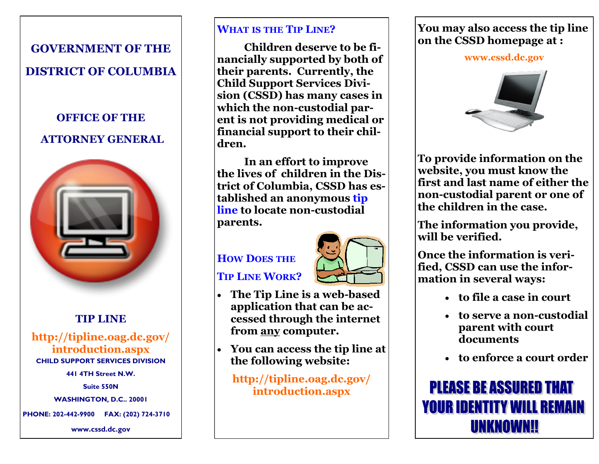#### **GOVERNMENT OF THE**

# **DISTRICT OF COLUMBIA**

# **OFFICE OF THE ATTORNEY GENERAL**



### **TIP LINE**

#### **http://tipline.oag.dc.gov/ introduction.aspx CHILD SUPPORT SERVICES DIVISION**

**441 4TH Street N.W.**

**Suite 550N**

**WASHINGTON, D.C.. 20001**

**PHONE: 202-442-9900 FAX: (202) 724-3710**

**www.cssd.dc.gov**

#### **WHAT IS THE TIP LINE?**

**Children deserve to be financially supported by both of their parents. Currently, the Child Support Services Division (CSSD) has many cases in which the non-custodial parent is not providing medical or financial support to their children.**

**In an effort to improve the lives of children in the District of Columbia, CSSD has established an anonymous tip line to locate non-custodial parents.**

# **HOW DOES THE TIP LINE WORK?**



- **The Tip Line is a web-based application that can be accessed through the internet from any computer.**
- **You can access the tip line at the following website:**

**http://tipline.oag.dc.gov/ introduction.aspx**

#### **You may also access the tip line on the CSSD homepage at :**

**www.cssd.dc.gov**



**To provide information on the website, you must know the first and last name of either the non-custodial parent or one of the children in the case.**

**The information you provide, will be verified.**

**Once the information is verified, CSSD can use the information in several ways:**

- **to file a case in court**
- **to serve a non-custodial parent with court documents**
- **to enforce a court order**